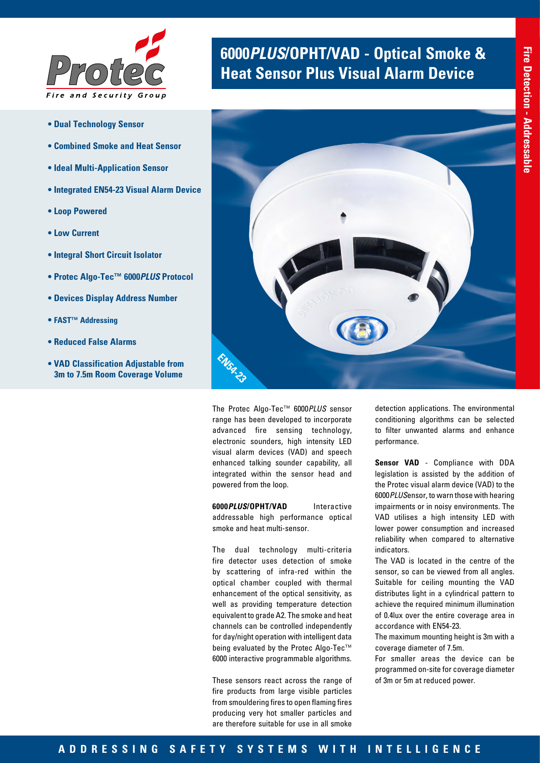

- **Dual Technology Sensor**
- **Combined Smoke and Heat Sensor**
- **Ideal Multi-Application Sensor**
- **Integrated EN54-23 Visual Alarm Device**
- **Loop Powered**
- **Low Current**
- **Integral Short Circuit Isolator**
- **Protec Algo-Tec™ 6000***PLUS* **Protocol**
- **Devices Display Address Number**
- **FAST™ Addressing**
- **Reduced False Alarms**
- **VAD Classification Adjustable from 3m to 7.5m Room Coverage Volume**

# **6000***PLUS***/OPHT/VAD - Optical Smoke & Heat Sensor Plus Visual Alarm Device**



The Protec Algo-Tec™ 6000*PLUS* sensor range has been developed to incorporate advanced fire sensing technology, electronic sounders, high intensity LED visual alarm devices (VAD) and speech enhanced talking sounder capability, all integrated within the sensor head and powered from the loop.

**6000***PLUS***/OPHT/VAD** Interactive addressable high performance optical smoke and heat multi-sensor.

The dual technology multi-criteria fire detector uses detection of smoke by scattering of infra-red within the optical chamber coupled with thermal enhancement of the optical sensitivity, as well as providing temperature detection equivalent to grade A2. The smoke and heat channels can be controlled independently for day/night operation with intelligent data being evaluated by the Protec Algo-Tec™ 6000 interactive programmable algorithms.

These sensors react across the range of fire products from large visible particles from smouldering fires to open flaming fires producing very hot smaller particles and are therefore suitable for use in all smoke

detection applications. The environmental conditioning algorithms can be selected to filter unwanted alarms and enhance performance.

**Sensor VAD** - Compliance with DDA legislation is assisted by the addition of the Protec visual alarm device (VAD) to the 6000*PLUS*ensor, to warn those with hearing impairments or in noisy environments. The VAD utilises a high intensity LED with lower power consumption and increased reliability when compared to alternative indicators.

The VAD is located in the centre of the sensor, so can be viewed from all angles. Suitable for ceiling mounting the VAD distributes light in a cylindrical pattern to achieve the required minimum illumination of 0.4lux over the entire coverage area in accordance with EN54-23.

The maximum mounting height is 3m with a coverage diameter of 7.5m.

For smaller areas the device can be programmed on-site for coverage diameter of 3m or 5m at reduced power.